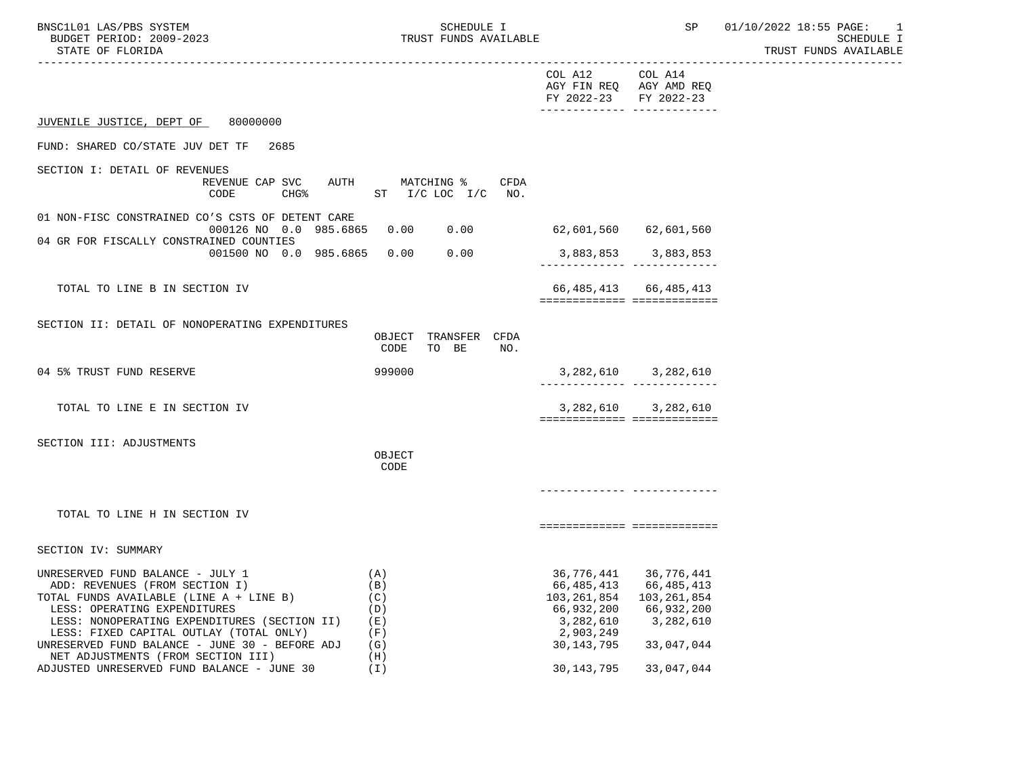| BNSC1L01 LAS/PBS SYSTEM  | <b>SCHEDULE I</b>     | SP | 01/10/2022 18:55 PAGE: |
|--------------------------|-----------------------|----|------------------------|
| BUDGET PERIOD: 2009-2023 | TRUST FUNDS AVAILABLE |    | SCHEDULE I             |
| STATE OF FLORIDA         |                       |    | TRUST FUNDS AVAILABLE  |

TRUST FUNDS AVAILABLE

|                                                                                                                                                                                                                                                                                                                                  |                                                      | COL A12 COL A14<br>AGY FIN REQ AGY AMD REQ<br>FY 2022-23 FY 2022-23<br>-------------- -------------- |                                                                                  |
|----------------------------------------------------------------------------------------------------------------------------------------------------------------------------------------------------------------------------------------------------------------------------------------------------------------------------------|------------------------------------------------------|------------------------------------------------------------------------------------------------------|----------------------------------------------------------------------------------|
| JUVENILE JUSTICE, DEPT OF<br>80000000                                                                                                                                                                                                                                                                                            |                                                      |                                                                                                      |                                                                                  |
| FUND: SHARED CO/STATE JUV DET TF<br>2685                                                                                                                                                                                                                                                                                         |                                                      |                                                                                                      |                                                                                  |
| SECTION I: DETAIL OF REVENUES<br>REVENUE CAP SVC<br>AUTH<br>CODE<br>$CHG\$                                                                                                                                                                                                                                                       | MATCHING %<br>CFDA<br>ST $I/C$ LOC $I/C$ NO.         |                                                                                                      |                                                                                  |
| 01 NON-FISC CONSTRAINED CO'S CSTS OF DETENT CARE<br>000126 NO 0.0 985.6865                                                                                                                                                                                                                                                       | 0.00<br>0.00                                         | 62,601,560 62,601,560                                                                                |                                                                                  |
| 04 GR FOR FISCALLY CONSTRAINED COUNTIES<br>001500 NO 0.0 985.6865 0.00                                                                                                                                                                                                                                                           | 0.00                                                 | 3,883,853 3,883,853<br>-------------- --------------                                                 |                                                                                  |
| TOTAL TO LINE B IN SECTION IV                                                                                                                                                                                                                                                                                                    |                                                      | ===========================                                                                          | 66, 485, 413 66, 485, 413                                                        |
| SECTION II: DETAIL OF NONOPERATING EXPENDITURES                                                                                                                                                                                                                                                                                  | TRANSFER CFDA<br>OBJECT<br>CODE<br>TO BE<br>NO.      |                                                                                                      |                                                                                  |
| 04 5% TRUST FUND RESERVE                                                                                                                                                                                                                                                                                                         | 999000                                               | ________________________________                                                                     | 3, 282, 610 3, 282, 610                                                          |
| TOTAL TO LINE E IN SECTION IV                                                                                                                                                                                                                                                                                                    |                                                      | ============================                                                                         | 3, 282, 610 3, 282, 610                                                          |
| SECTION III: ADJUSTMENTS                                                                                                                                                                                                                                                                                                         | OBJECT<br>CODE                                       |                                                                                                      |                                                                                  |
|                                                                                                                                                                                                                                                                                                                                  |                                                      |                                                                                                      |                                                                                  |
| TOTAL TO LINE H IN SECTION IV                                                                                                                                                                                                                                                                                                    |                                                      | ===========================                                                                          |                                                                                  |
| SECTION IV: SUMMARY                                                                                                                                                                                                                                                                                                              |                                                      |                                                                                                      |                                                                                  |
| UNRESERVED FUND BALANCE - JULY 1<br>ADD: REVENUES (FROM SECTION I)<br>TOTAL FUNDS AVAILABLE (LINE A + LINE B)<br>LESS: OPERATING EXPENDITURES<br>LESS: NONOPERATING EXPENDITURES (SECTION II)<br>LESS: FIXED CAPITAL OUTLAY (TOTAL ONLY)<br>UNRESERVED FUND BALANCE - JUNE 30 - BEFORE ADJ<br>NET ADJUSTMENTS (FROM SECTION III) | (A)<br>(B)<br>(C)<br>(D)<br>(E)<br>(F)<br>(G)<br>(H) | 66,485,413<br>103, 261, 854 103, 261, 854<br>66,932,200<br>3,282,610<br>2,903,249<br>30,143,795      | 36, 776, 441 36, 776, 441<br>66,485,413<br>66,932,200<br>3,282,610<br>33,047,044 |

ADJUSTED UNRESERVED FUND BALANCE - JUNE 30 (I) 30,143,795 33,047,044